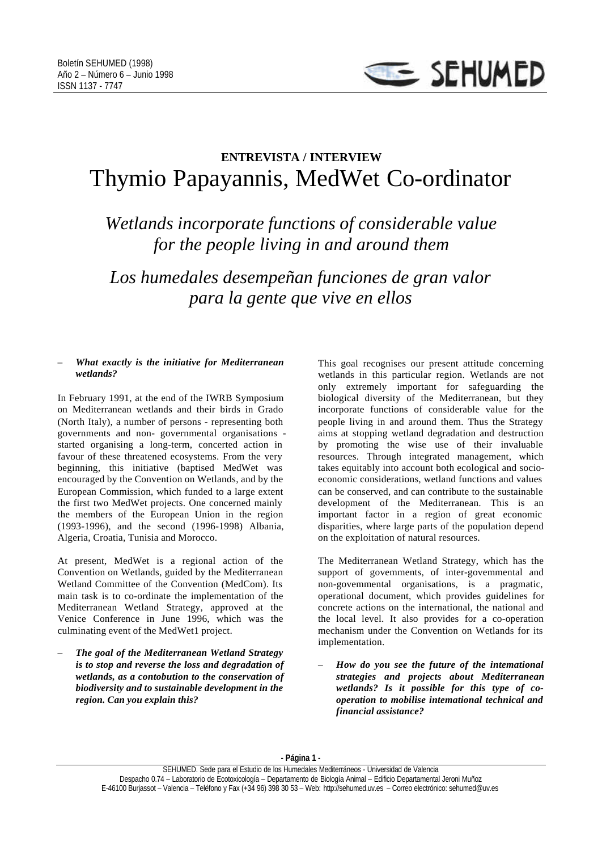

## **ENTREVISTA / INTERVIEW** Thymio Papayannis, MedWet Co-ordinator

*Wetlands incorporate functions of considerable value for the people living in and around them*

*Los humedales desempeñan funciones de gran valor para la gente que vive en ellos*

## – *What exactly is the initiative for Mediterranean wetlands?*

In February 1991, at the end of the IWRB Symposium on Mediterranean wetlands and their birds in Grado (North Italy), a number of persons - representing both governments and non- governmental organisations started organising a long-term, concerted action in favour of these threatened ecosystems. From the very beginning, this initiative (baptised MedWet was encouraged by the Convention on Wetlands, and by the European Commission, which funded to a large extent the first two MedWet projects. One concerned mainly the members of the European Union in the region (1993-1996), and the second (1996-1998) Albania, Algeria, Croatia, Tunisia and Morocco.

At present, MedWet is a regional action of the Convention on Wetlands, guided by the Mediterranean Wetland Committee of the Convention (MedCom). Its main task is to co-ordinate the implementation of the Mediterranean Wetland Strategy, approved at the Venice Conference in June 1996, which was the culminating event of the MedWet1 project.

– *The goal of the Mediterranean Wetland Strategy is to stop and reverse the loss and degradation of wetlands, as a contobution to the conservation of biodiversity and to sustainable development in the region. Can you explain this?*

This goal recognises our present attitude concerning wetlands in this particular region. Wetlands are not only extremely important for safeguarding the biological diversity of the Mediterranean, but they incorporate functions of considerable value for the people living in and around them. Thus the Strategy aims at stopping wetland degradation and destruction by promoting the wise use of their invaluable resources. Through integrated management, which takes equitably into account both ecological and socioeconomic considerations, wetland functions and values can be conserved, and can contribute to the sustainable development of the Mediterranean. This is an important factor in a region of great economic disparities, where large parts of the population depend on the exploitation of natural resources.

The Mediterranean Wetland Strategy, which has the support of govemments, of inter-govemmental and non-govemmental organisations, is a pragmatic, operational document, which provides guidelines for concrete actions on the international, the national and the local level. It also provides for a co-operation mechanism under the Convention on Wetlands for its implementation.

– *How do you see the future of the intemational strategies and projects about Mediterranean wetlands? Is it possible for this type of cooperation to mobilise intemational technical and financial assistance?*